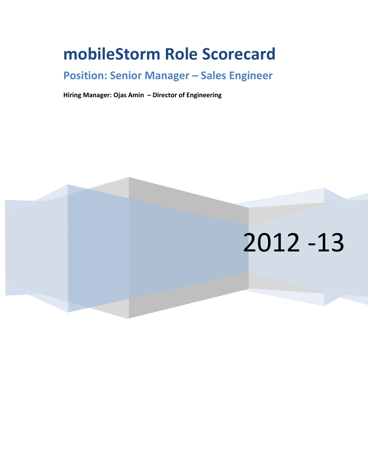## **mobileStorm Role Scorecard**

## **Position: Senior Manager – Sales Engineer**

**Hiring Manager: Ojas Amin – Director of Engineering**

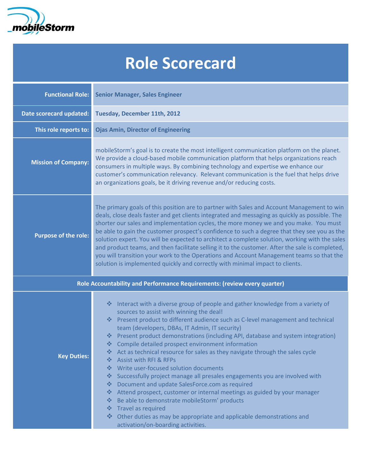

## **Role Scorecard**

| <b>Functional Role:</b>                                                  | <b>Senior Manager, Sales Engineer</b>                                                                                                                                                                                                                                                                                                                                                                                                                                                                                                                                                                                                                                                                                                                                                                                                                                                                                                                                                                                |  |  |  |  |  |
|--------------------------------------------------------------------------|----------------------------------------------------------------------------------------------------------------------------------------------------------------------------------------------------------------------------------------------------------------------------------------------------------------------------------------------------------------------------------------------------------------------------------------------------------------------------------------------------------------------------------------------------------------------------------------------------------------------------------------------------------------------------------------------------------------------------------------------------------------------------------------------------------------------------------------------------------------------------------------------------------------------------------------------------------------------------------------------------------------------|--|--|--|--|--|
| Date scorecard updated:                                                  | Tuesday, December 11th, 2012                                                                                                                                                                                                                                                                                                                                                                                                                                                                                                                                                                                                                                                                                                                                                                                                                                                                                                                                                                                         |  |  |  |  |  |
| This role reports to:                                                    | <b>Ojas Amin, Director of Engineering</b>                                                                                                                                                                                                                                                                                                                                                                                                                                                                                                                                                                                                                                                                                                                                                                                                                                                                                                                                                                            |  |  |  |  |  |
| <b>Mission of Company:</b>                                               | mobileStorm's goal is to create the most intelligent communication platform on the planet.<br>We provide a cloud-based mobile communication platform that helps organizations reach<br>consumers in multiple ways. By combining technology and expertise we enhance our<br>customer's communication relevancy. Relevant communication is the fuel that helps drive<br>an organizations goals, be it driving revenue and/or reducing costs.                                                                                                                                                                                                                                                                                                                                                                                                                                                                                                                                                                           |  |  |  |  |  |
| <b>Purpose of the role:</b>                                              | The primary goals of this position are to partner with Sales and Account Management to win<br>deals, close deals faster and get clients integrated and messaging as quickly as possible. The<br>shorter our sales and implementation cycles, the more money we and you make. You must<br>be able to gain the customer prospect's confidence to such a degree that they see you as the<br>solution expert. You will be expected to architect a complete solution, working with the sales<br>and product teams, and then facilitate selling it to the customer. After the sale is completed,<br>you will transition your work to the Operations and Account Management teams so that the<br>solution is implemented quickly and correctly with minimal impact to clients.                                                                                                                                                                                                                                              |  |  |  |  |  |
| Role Accountability and Performance Requirements: (review every quarter) |                                                                                                                                                                                                                                                                                                                                                                                                                                                                                                                                                                                                                                                                                                                                                                                                                                                                                                                                                                                                                      |  |  |  |  |  |
| <b>Key Duties:</b>                                                       | Interact with a diverse group of people and gather knowledge from a variety of<br>榛<br>sources to assist with winning the deal!<br>❖ Present product to different audience such as C-level management and technical<br>team (developers, DBAs, IT Admin, IT security)<br>* Present product demonstrations (including API, database and system integration)<br>❖ Compile detailed prospect environment information<br>* Act as technical resource for sales as they navigate through the sales cycle<br><b>Assist with RFI &amp; RFPs</b><br>❖<br>Write user-focused solution documents<br>榛<br>Successfully project manage all presales engagements you are involved with<br>❖<br>Document and update SalesForce.com as required<br><b>经</b><br>❖ Attend prospect, customer or internal meetings as guided by your manager<br>❖ Be able to demonstrate mobileStorm' products<br>❖ Travel as required<br>❖ Other duties as may be appropriate and applicable demonstrations and<br>activation/on-boarding activities. |  |  |  |  |  |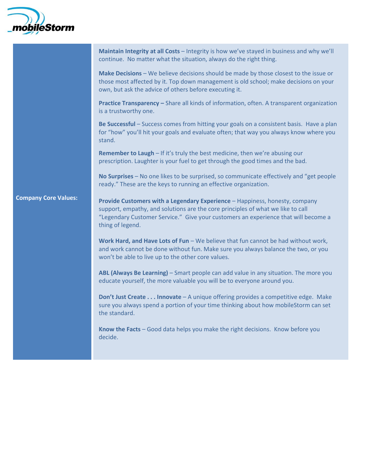

|                             | Maintain Integrity at all Costs - Integrity is how we've stayed in business and why we'll<br>continue. No matter what the situation, always do the right thing.                                                                                                          |  |  |  |  |  |
|-----------------------------|--------------------------------------------------------------------------------------------------------------------------------------------------------------------------------------------------------------------------------------------------------------------------|--|--|--|--|--|
|                             | Make Decisions - We believe decisions should be made by those closest to the issue or<br>those most affected by it. Top down management is old school; make decisions on your<br>own, but ask the advice of others before executing it.                                  |  |  |  |  |  |
|                             | Practice Transparency - Share all kinds of information, often. A transparent organization<br>is a trustworthy one.                                                                                                                                                       |  |  |  |  |  |
|                             | Be Successful - Success comes from hitting your goals on a consistent basis. Have a plan<br>for "how" you'll hit your goals and evaluate often; that way you always know where you<br>stand.                                                                             |  |  |  |  |  |
|                             | <b>Remember to Laugh - If it's truly the best medicine, then we're abusing our</b><br>prescription. Laughter is your fuel to get through the good times and the bad.                                                                                                     |  |  |  |  |  |
|                             | No Surprises - No one likes to be surprised, so communicate effectively and "get people<br>ready." These are the keys to running an effective organization.                                                                                                              |  |  |  |  |  |
| <b>Company Core Values:</b> | Provide Customers with a Legendary Experience - Happiness, honesty, company<br>support, empathy, and solutions are the core principles of what we like to call<br>"Legendary Customer Service." Give your customers an experience that will become a<br>thing of legend. |  |  |  |  |  |
|                             | Work Hard, and Have Lots of Fun - We believe that fun cannot be had without work,<br>and work cannot be done without fun. Make sure you always balance the two, or you<br>won't be able to live up to the other core values.                                             |  |  |  |  |  |
|                             | ABL (Always Be Learning) - Smart people can add value in any situation. The more you<br>educate yourself, the more valuable you will be to everyone around you.                                                                                                          |  |  |  |  |  |
|                             | Don't Just Create Innovate - A unique offering provides a competitive edge. Make<br>sure you always spend a portion of your time thinking about how mobileStorm can set<br>the standard.                                                                                 |  |  |  |  |  |
|                             | Know the Facts - Good data helps you make the right decisions. Know before you<br>decide.                                                                                                                                                                                |  |  |  |  |  |
|                             |                                                                                                                                                                                                                                                                          |  |  |  |  |  |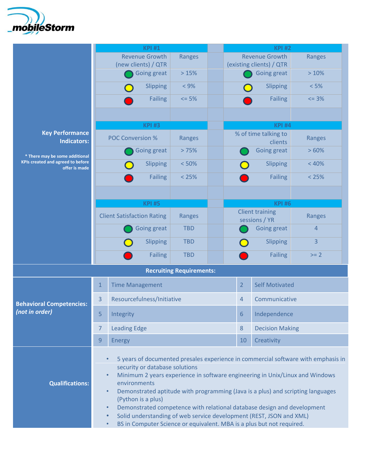

|                                                    | <b>KPI#1</b>                                                                                                                                                                                                                                                                                                                                                                                                                                                                                                                       |                                                                                    |            |  | <b>KPI#2</b>                                      |                          |         |  |  |
|----------------------------------------------------|------------------------------------------------------------------------------------------------------------------------------------------------------------------------------------------------------------------------------------------------------------------------------------------------------------------------------------------------------------------------------------------------------------------------------------------------------------------------------------------------------------------------------------|------------------------------------------------------------------------------------|------------|--|---------------------------------------------------|--------------------------|---------|--|--|
|                                                    | <b>Revenue Growth</b><br>(new clients) / QTR                                                                                                                                                                                                                                                                                                                                                                                                                                                                                       |                                                                                    | Ranges     |  | <b>Revenue Growth</b><br>(existing clients) / QTR |                          | Ranges  |  |  |
|                                                    |                                                                                                                                                                                                                                                                                                                                                                                                                                                                                                                                    | <b>Going great</b>                                                                 | >15%       |  |                                                   | <b>Going great</b>       | >10%    |  |  |
|                                                    |                                                                                                                                                                                                                                                                                                                                                                                                                                                                                                                                    | Slipping                                                                           | $< 9\%$    |  |                                                   | Slipping                 | < 5%    |  |  |
|                                                    |                                                                                                                                                                                                                                                                                                                                                                                                                                                                                                                                    | <b>Failing</b>                                                                     | $= 5%$     |  |                                                   | <b>Failing</b>           | $= 3\%$ |  |  |
|                                                    |                                                                                                                                                                                                                                                                                                                                                                                                                                                                                                                                    |                                                                                    |            |  |                                                   |                          |         |  |  |
|                                                    | <b>KPI#3</b>                                                                                                                                                                                                                                                                                                                                                                                                                                                                                                                       |                                                                                    |            |  |                                                   | <b>KPI #4</b>            |         |  |  |
| <b>Key Performance</b><br><b>Indicators:</b>       | <b>POC Conversion %</b>                                                                                                                                                                                                                                                                                                                                                                                                                                                                                                            |                                                                                    | Ranges     |  | % of time talking to<br>Ranges<br>clients         |                          |         |  |  |
| * There may be some additional                     |                                                                                                                                                                                                                                                                                                                                                                                                                                                                                                                                    | Going great                                                                        | >75%       |  |                                                   | Going great              | >60%    |  |  |
| KPIs created and agreed to before<br>offer is made |                                                                                                                                                                                                                                                                                                                                                                                                                                                                                                                                    | Slipping                                                                           | < 50%      |  |                                                   | Slipping                 | < 40%   |  |  |
|                                                    |                                                                                                                                                                                                                                                                                                                                                                                                                                                                                                                                    | <b>Failing</b>                                                                     | < 25%      |  |                                                   | <b>Failing</b>           | < 25%   |  |  |
|                                                    |                                                                                                                                                                                                                                                                                                                                                                                                                                                                                                                                    |                                                                                    |            |  |                                                   |                          |         |  |  |
|                                                    |                                                                                                                                                                                                                                                                                                                                                                                                                                                                                                                                    | <b>KPI#5</b>                                                                       |            |  |                                                   | <b>KPI#6</b>             |         |  |  |
|                                                    |                                                                                                                                                                                                                                                                                                                                                                                                                                                                                                                                    | <b>Client Satisfaction Rating</b>                                                  | Ranges     |  | <b>Client training</b><br>Ranges<br>sessions / YR |                          |         |  |  |
|                                                    |                                                                                                                                                                                                                                                                                                                                                                                                                                                                                                                                    | Going great                                                                        | <b>TBD</b> |  |                                                   | 4<br>Going great         |         |  |  |
|                                                    |                                                                                                                                                                                                                                                                                                                                                                                                                                                                                                                                    | Slipping                                                                           | <b>TBD</b> |  |                                                   | Slipping                 | 3       |  |  |
|                                                    |                                                                                                                                                                                                                                                                                                                                                                                                                                                                                                                                    | <b>Failing</b>                                                                     | <b>TBD</b> |  |                                                   | <b>Failing</b><br>$>= 2$ |         |  |  |
| <b>Recruiting Requirements:</b>                    |                                                                                                                                                                                                                                                                                                                                                                                                                                                                                                                                    |                                                                                    |            |  |                                                   |                          |         |  |  |
|                                                    | $\mathbf{1}$                                                                                                                                                                                                                                                                                                                                                                                                                                                                                                                       | <b>Time Management</b>                                                             |            |  | $\overline{2}$                                    | <b>Self Motivated</b>    |         |  |  |
| <b>Behavioral Competencies:</b><br>(not in order)  | 3                                                                                                                                                                                                                                                                                                                                                                                                                                                                                                                                  | Resourcefulness/Initiative                                                         |            |  | 4                                                 | Communicative            |         |  |  |
|                                                    | 5                                                                                                                                                                                                                                                                                                                                                                                                                                                                                                                                  | Integrity                                                                          |            |  | 6                                                 | Independence             |         |  |  |
|                                                    | $\overline{7}$                                                                                                                                                                                                                                                                                                                                                                                                                                                                                                                     | <b>Leading Edge</b>                                                                |            |  | $8\phantom{1}$                                    | <b>Decision Making</b>   |         |  |  |
|                                                    | $\overline{9}$                                                                                                                                                                                                                                                                                                                                                                                                                                                                                                                     | <b>Energy</b>                                                                      |            |  | 10                                                | Creativity               |         |  |  |
| <b>Qualifications:</b>                             | 5 years of documented presales experience in commercial software with emphasis in<br>security or database solutions<br>Minimum 2 years experience in software engineering in Unix/Linux and Windows<br>$\bullet$<br>environments<br>Demonstrated aptitude with programming (Java is a plus) and scripting languages<br>$\bullet$<br>(Python is a plus)<br>Demonstrated competence with relational database design and development<br>$\bullet$<br>Solid understanding of web service development (REST, JSON and XML)<br>$\bullet$ |                                                                                    |            |  |                                                   |                          |         |  |  |
|                                                    |                                                                                                                                                                                                                                                                                                                                                                                                                                                                                                                                    | BS in Computer Science or equivalent. MBA is a plus but not required.<br>$\bullet$ |            |  |                                                   |                          |         |  |  |